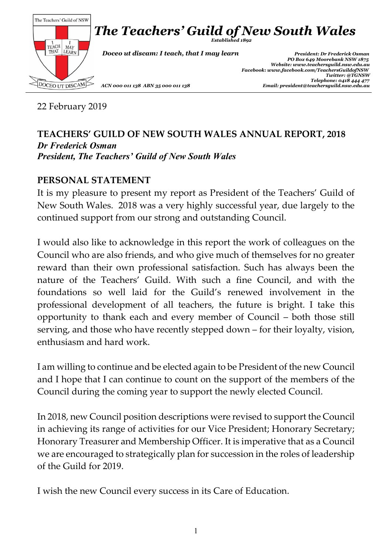

22 February 2019

#### **TEACHERS' GUILD OF NEW SOUTH WALES ANNUAL REPORT, 2018** *Dr Frederick Osman President, The Teachers' Guild of New South Wales*

## **PERSONAL STATEMENT**

It is my pleasure to present my report as President of the Teachers' Guild of New South Wales. 2018 was a very highly successful year, due largely to the continued support from our strong and outstanding Council.

I would also like to acknowledge in this report the work of colleagues on the Council who are also friends, and who give much of themselves for no greater reward than their own professional satisfaction. Such has always been the nature of the Teachers' Guild. With such a fine Council, and with the foundations so well laid for the Guild's renewed involvement in the professional development of all teachers, the future is bright. I take this opportunity to thank each and every member of Council – both those still serving, and those who have recently stepped down – for their loyalty, vision, enthusiasm and hard work.

I am willing to continue and be elected again to be President of the new Council and I hope that I can continue to count on the support of the members of the Council during the coming year to support the newly elected Council.

In 2018, new Council position descriptions were revised to support the Council in achieving its range of activities for our Vice President; Honorary Secretary; Honorary Treasurer and Membership Officer. It is imperative that as a Council we are encouraged to strategically plan for succession in the roles of leadership of the Guild for 2019.

I wish the new Council every success in its Care of Education.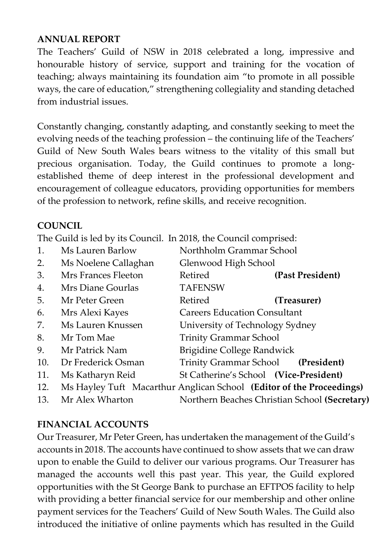#### **ANNUAL REPORT**

The Teachers' Guild of NSW in 2018 celebrated a long, impressive and honourable history of service, support and training for the vocation of teaching; always maintaining its foundation aim "to promote in all possible ways, the care of education," strengthening collegiality and standing detached from industrial issues.

Constantly changing, constantly adapting, and constantly seeking to meet the evolving needs of the teaching profession – the continuing life of the Teachers' Guild of New South Wales bears witness to the vitality of this small but precious organisation. Today, the Guild continues to promote a longestablished theme of deep interest in the professional development and encouragement of colleague educators, providing opportunities for members of the profession to network, refine skills, and receive recognition.

## **COUNCIL**

The Guild is led by its Council. In 2018, the Council comprised:

- 1. Ms Lauren Barlow Northholm Grammar School 2. Ms Noelene Callaghan Glenwood High School 3. Mrs Frances Fleeton Retired **(Past President)** 4. Mrs Diane Gourlas TAFENSW 5. Mr Peter Green Retired **(Treasurer)** 6. Mrs Alexi Kayes Careers Education Consultant 7. Ms Lauren Knussen University of Technology Sydney 8. Mr Tom Mae Trinity Grammar School 9. Mr Patrick Nam Brigidine College Randwick 10. Dr Frederick Osman Trinity Grammar School **(President)** 11. Ms Katharyn Reid St Catherine's School **(Vice-President)** 12. Ms Hayley Tuft Macarthur Anglican School **(Editor of the Proceedings)**
- 13. Mr Alex Wharton Northern Beaches Christian School **(Secretary)**

## **FINANCIAL ACCOUNTS**

Our Treasurer, Mr Peter Green, has undertaken the management of the Guild's accounts in 2018. The accounts have continued to show assets that we can draw upon to enable the Guild to deliver our various programs. Our Treasurer has managed the accounts well this past year. This year, the Guild explored opportunities with the St George Bank to purchase an EFTPOS facility to help with providing a better financial service for our membership and other online payment services for the Teachers' Guild of New South Wales. The Guild also introduced the initiative of online payments which has resulted in the Guild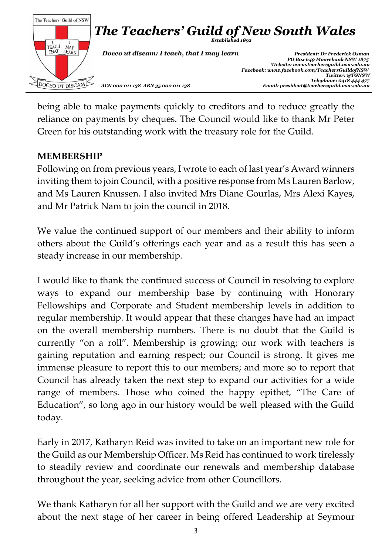

being able to make payments quickly to creditors and to reduce greatly the reliance on payments by cheques. The Council would like to thank Mr Peter Green for his outstanding work with the treasury role for the Guild.

## **MEMBERSHIP**

Following on from previous years, I wrote to each of last year's Award winners inviting them to join Council, with a positive response from Ms Lauren Barlow, and Ms Lauren Knussen. I also invited Mrs Diane Gourlas, Mrs Alexi Kayes, and Mr Patrick Nam to join the council in 2018.

We value the continued support of our members and their ability to inform others about the Guild's offerings each year and as a result this has seen a steady increase in our membership.

I would like to thank the continued success of Council in resolving to explore ways to expand our membership base by continuing with Honorary Fellowships and Corporate and Student membership levels in addition to regular membership. It would appear that these changes have had an impact on the overall membership numbers. There is no doubt that the Guild is currently "on a roll". Membership is growing; our work with teachers is gaining reputation and earning respect; our Council is strong. It gives me immense pleasure to report this to our members; and more so to report that Council has already taken the next step to expand our activities for a wide range of members. Those who coined the happy epithet, "The Care of Education", so long ago in our history would be well pleased with the Guild today.

Early in 2017, Katharyn Reid was invited to take on an important new role for the Guild as our Membership Officer. Ms Reid has continued to work tirelessly to steadily review and coordinate our renewals and membership database throughout the year, seeking advice from other Councillors.

We thank Katharyn for all her support with the Guild and we are very excited about the next stage of her career in being offered Leadership at Seymour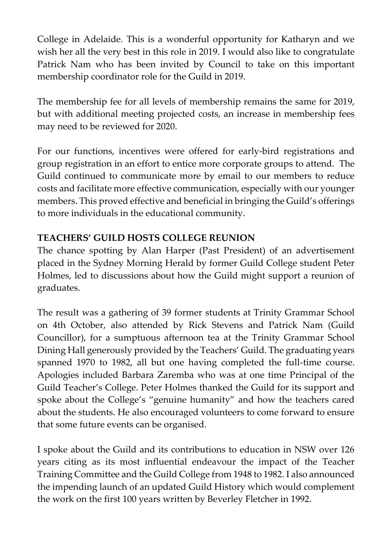College in Adelaide. This is a wonderful opportunity for Katharyn and we wish her all the very best in this role in 2019. I would also like to congratulate Patrick Nam who has been invited by Council to take on this important membership coordinator role for the Guild in 2019.

The membership fee for all levels of membership remains the same for 2019, but with additional meeting projected costs, an increase in membership fees may need to be reviewed for 2020.

For our functions, incentives were offered for early-bird registrations and group registration in an effort to entice more corporate groups to attend. The Guild continued to communicate more by email to our members to reduce costs and facilitate more effective communication, especially with our younger members. This proved effective and beneficial in bringing the Guild's offerings to more individuals in the educational community.

# **TEACHERS' GUILD HOSTS COLLEGE REUNION**

The chance spotting by Alan Harper (Past President) of an advertisement placed in the Sydney Morning Herald by former Guild College student Peter Holmes, led to discussions about how the Guild might support a reunion of graduates.

The result was a gathering of 39 former students at Trinity Grammar School on 4th October, also attended by Rick Stevens and Patrick Nam (Guild Councillor), for a sumptuous afternoon tea at the Trinity Grammar School Dining Hall generously provided by the Teachers' Guild. The graduating years spanned 1970 to 1982, all but one having completed the full-time course. Apologies included Barbara Zaremba who was at one time Principal of the Guild Teacher's College. Peter Holmes thanked the Guild for its support and spoke about the College's "genuine humanity" and how the teachers cared about the students. He also encouraged volunteers to come forward to ensure that some future events can be organised.

I spoke about the Guild and its contributions to education in NSW over 126 years citing as its most influential endeavour the impact of the Teacher Training Committee and the Guild College from 1948 to 1982. I also announced the impending launch of an updated Guild History which would complement the work on the first 100 years written by Beverley Fletcher in 1992.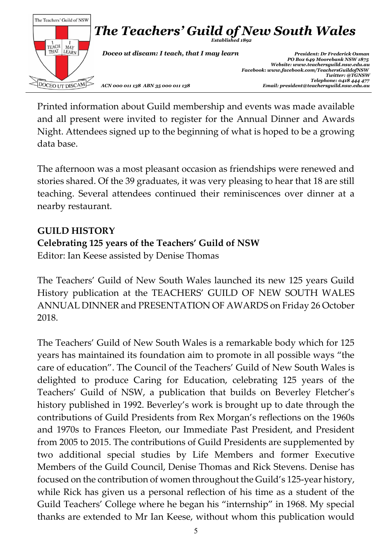

Printed information about Guild membership and events was made available and all present were invited to register for the Annual Dinner and Awards Night. Attendees signed up to the beginning of what is hoped to be a growing data base.

The afternoon was a most pleasant occasion as friendships were renewed and stories shared. Of the 39 graduates, it was very pleasing to hear that 18 are still teaching. Several attendees continued their reminiscences over dinner at a nearby restaurant.

## **GUILD HISTORY**

## **Celebrating 125 years of the Teachers' Guild of NSW**

Editor: Ian Keese assisted by Denise Thomas

The Teachers' Guild of New South Wales launched its new 125 years Guild History publication at the TEACHERS' GUILD OF NEW SOUTH WALES ANNUAL DINNER and PRESENTATION OF AWARDS on Friday 26 October 2018.

The Teachers' Guild of New South Wales is a remarkable body which for 125 years has maintained its foundation aim to promote in all possible ways "the care of education". The Council of the Teachers' Guild of New South Wales is delighted to produce Caring for Education, celebrating 125 years of the Teachers' Guild of NSW, a publication that builds on Beverley Fletcher's history published in 1992. Beverley's work is brought up to date through the contributions of Guild Presidents from Rex Morgan's reflections on the 1960s and 1970s to Frances Fleeton, our Immediate Past President, and President from 2005 to 2015. The contributions of Guild Presidents are supplemented by two additional special studies by Life Members and former Executive Members of the Guild Council, Denise Thomas and Rick Stevens. Denise has focused on the contribution of women throughout the Guild's 125-year history, while Rick has given us a personal reflection of his time as a student of the Guild Teachers' College where he began his "internship" in 1968. My special thanks are extended to Mr Ian Keese, without whom this publication would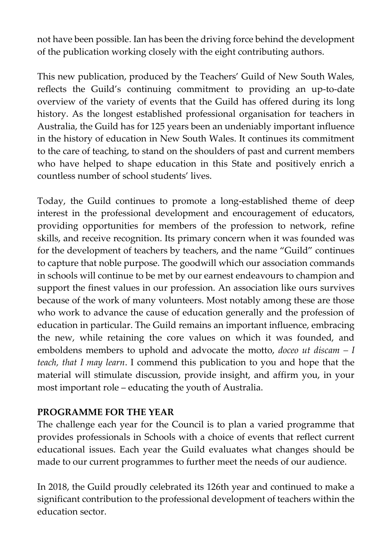not have been possible. Ian has been the driving force behind the development of the publication working closely with the eight contributing authors.

This new publication, produced by the Teachers' Guild of New South Wales, reflects the Guild's continuing commitment to providing an up-to-date overview of the variety of events that the Guild has offered during its long history. As the longest established professional organisation for teachers in Australia, the Guild has for 125 years been an undeniably important influence in the history of education in New South Wales. It continues its commitment to the care of teaching, to stand on the shoulders of past and current members who have helped to shape education in this State and positively enrich a countless number of school students' lives.

Today, the Guild continues to promote a long-established theme of deep interest in the professional development and encouragement of educators, providing opportunities for members of the profession to network, refine skills, and receive recognition. Its primary concern when it was founded was for the development of teachers by teachers, and the name "Guild" continues to capture that noble purpose. The goodwill which our association commands in schools will continue to be met by our earnest endeavours to champion and support the finest values in our profession. An association like ours survives because of the work of many volunteers. Most notably among these are those who work to advance the cause of education generally and the profession of education in particular. The Guild remains an important influence, embracing the new, while retaining the core values on which it was founded, and emboldens members to uphold and advocate the motto, *doceo ut discam – I teach, that I may learn*. I commend this publication to you and hope that the material will stimulate discussion, provide insight, and affirm you, in your most important role – educating the youth of Australia.

## **PROGRAMME FOR THE YEAR**

The challenge each year for the Council is to plan a varied programme that provides professionals in Schools with a choice of events that reflect current educational issues. Each year the Guild evaluates what changes should be made to our current programmes to further meet the needs of our audience.

In 2018, the Guild proudly celebrated its 126th year and continued to make a significant contribution to the professional development of teachers within the education sector.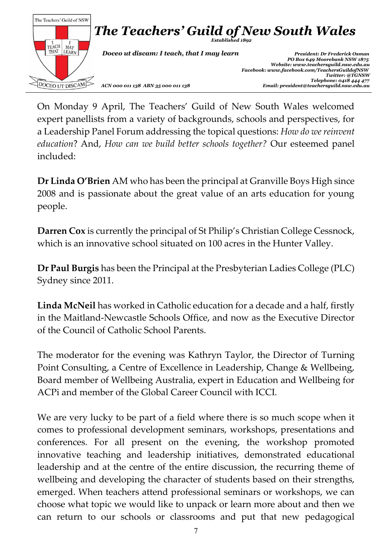

On Monday 9 April, The Teachers' Guild of New South Wales welcomed expert panellists from a variety of backgrounds, schools and perspectives, for a Leadership Panel Forum addressing the topical questions: *How do we reinvent education*? And, *How can we build better schools together?* Our esteemed panel included:

**Dr Linda O'Brien** AM who has been the principal at Granville Boys High since 2008 and is passionate about the great value of an arts education for young people.

**Darren Cox** is currently the principal of St Philip's Christian College Cessnock, which is an innovative school situated on 100 acres in the Hunter Valley.

**Dr Paul Burgis** has been the Principal at the Presbyterian Ladies College (PLC) Sydney since 2011.

**Linda McNeil** has worked in Catholic education for a decade and a half, firstly in the Maitland-Newcastle Schools Office, and now as the Executive Director of the Council of Catholic School Parents.

The moderator for the evening was Kathryn Taylor, the Director of Turning Point Consulting, a Centre of Excellence in Leadership, Change & Wellbeing, Board member of Wellbeing Australia, expert in Education and Wellbeing for ACPi and member of the Global Career Council with ICCI.

We are very lucky to be part of a field where there is so much scope when it comes to professional development seminars, workshops, presentations and conferences. For all present on the evening, the workshop promoted innovative teaching and leadership initiatives, demonstrated educational leadership and at the centre of the entire discussion, the recurring theme of wellbeing and developing the character of students based on their strengths, emerged. When teachers attend professional seminars or workshops, we can choose what topic we would like to unpack or learn more about and then we can return to our schools or classrooms and put that new pedagogical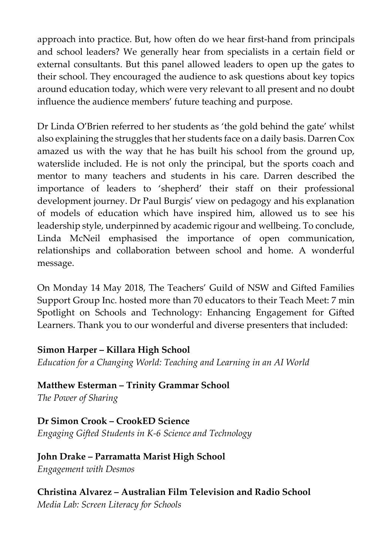approach into practice. But, how often do we hear first-hand from principals and school leaders? We generally hear from specialists in a certain field or external consultants. But this panel allowed leaders to open up the gates to their school. They encouraged the audience to ask questions about key topics around education today, which were very relevant to all present and no doubt influence the audience members' future teaching and purpose.

Dr Linda O'Brien referred to her students as 'the gold behind the gate' whilst also explaining the struggles that her students face on a daily basis. Darren Cox amazed us with the way that he has built his school from the ground up, waterslide included. He is not only the principal, but the sports coach and mentor to many teachers and students in his care. Darren described the importance of leaders to 'shepherd' their staff on their professional development journey. Dr Paul Burgis' view on pedagogy and his explanation of models of education which have inspired him, allowed us to see his leadership style, underpinned by academic rigour and wellbeing. To conclude, Linda McNeil emphasised the importance of open communication, relationships and collaboration between school and home. A wonderful message.

On Monday 14 May 2018, The Teachers' Guild of NSW and Gifted Families Support Group Inc. hosted more than 70 educators to their Teach Meet: 7 min Spotlight on Schools and Technology: Enhancing Engagement for Gifted Learners. Thank you to our wonderful and diverse presenters that included:

## **Simon Harper – Killara High School**

*Education for a Changing World: Teaching and Learning in an AI World*

**Matthew Esterman – Trinity Grammar School** *The Power of Sharing*

**Dr Simon Crook – CrookED Science** *Engaging Gifted Students in K-6 Science and Technology*

**John Drake – Parramatta Marist High School** *Engagement with Desmos*

**Christina Alvarez – Australian Film Television and Radio School** *Media Lab: Screen Literacy for Schools*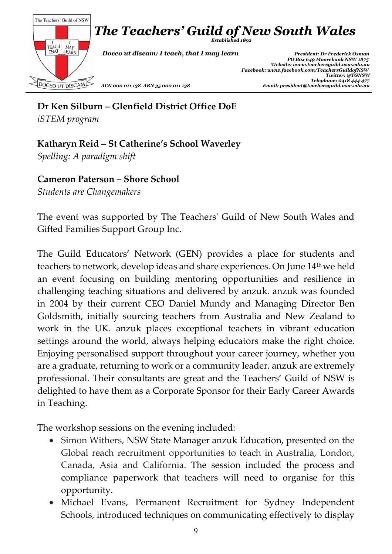

**Dr Ken Silburn – Glenfield District Office DoE** *iSTEM program*

## **Katharyn Reid – St Catherine's School Waverley**

*Spelling: A paradigm shift*

**Cameron Paterson – Shore School**

*Students are Changemakers*

The event was supported by The Teachers' Guild of New South Wales and Gifted Families Support Group Inc.

The Guild Educators' Network (GEN) provides a place for students and teachers to network, develop ideas and share experiences. On June 14th we held an event focusing on building mentoring opportunities and resilience in challenging teaching situations and delivered by anzuk. anzuk was founded in 2004 by their current CEO Daniel Mundy and Managing Director Ben Goldsmith, initially sourcing teachers from Australia and New Zealand to work in the UK. anzuk places exceptional teachers in vibrant education settings around the world, always helping educators make the right choice. Enjoying personalised support throughout your career journey, whether you are a graduate, returning to work or a community leader. anzuk are extremely professional. Their consultants are great and the Teachers' Guild of NSW is delighted to have them as a Corporate Sponsor for their Early Career Awards in Teaching.

The workshop sessions on the evening included:

- Simon Withers, NSW State Manager anzuk Education, presented on the Global reach recruitment opportunities to teach in Australia, London, Canada, Asia and California. The session included the process and compliance paperwork that teachers will need to organise for this opportunity.
- Michael Evans, Permanent Recruitment for Sydney Independent Schools, introduced techniques on communicating effectively to display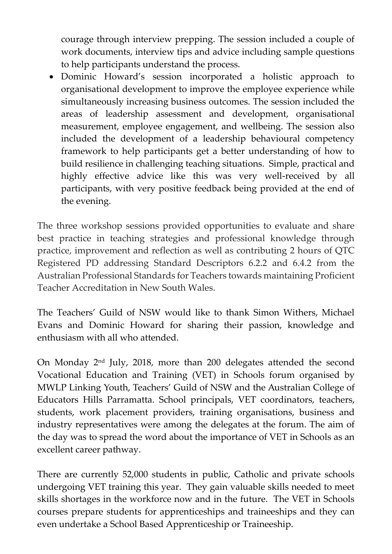courage through interview prepping. The session included a couple of work documents, interview tips and advice including sample questions to help participants understand the process.

 Dominic Howard's session incorporated a holistic approach to organisational development to improve the employee experience while simultaneously increasing business outcomes. The session included the areas of leadership assessment and development, organisational measurement, employee engagement, and wellbeing. The session also included the development of a leadership behavioural competency framework to help participants get a better understanding of how to build resilience in challenging teaching situations. Simple, practical and highly effective advice like this was very well-received by all participants, with very positive feedback being provided at the end of the evening.

The three workshop sessions provided opportunities to evaluate and share best practice in teaching strategies and professional knowledge through practice, improvement and reflection as well as contributing 2 hours of QTC Registered PD addressing Standard Descriptors 6.2.2 and 6.4.2 from the Australian Professional Standards for Teachers towards maintaining Proficient Teacher Accreditation in New South Wales.

The Teachers' Guild of NSW would like to thank Simon Withers, Michael Evans and Dominic Howard for sharing their passion, knowledge and enthusiasm with all who attended.

On Monday 2<sup>nd</sup> July, 2018, more than 200 delegates attended the second Vocational Education and Training (VET) in Schools forum organised by MWLP Linking Youth, Teachers' Guild of NSW and the Australian College of Educators Hills Parramatta. School principals, VET coordinators, teachers, students, work placement providers, training organisations, business and industry representatives were among the delegates at the forum. The aim of the day was to spread the word about the importance of VET in Schools as an excellent career pathway.

There are currently 52,000 students in public, Catholic and private schools undergoing VET training this year. They gain valuable skills needed to meet skills shortages in the workforce now and in the future. The VET in Schools courses prepare students for apprenticeships and traineeships and they can even undertake a School Based Apprenticeship or Traineeship.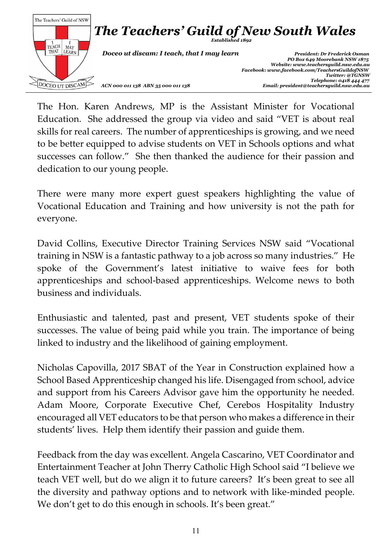

The Hon. Karen Andrews, MP is the Assistant Minister for Vocational Education. She addressed the group via video and said "VET is about real skills for real careers. The number of apprenticeships is growing, and we need to be better equipped to advise students on VET in Schools options and what successes can follow." She then thanked the audience for their passion and dedication to our young people.

There were many more expert guest speakers highlighting the value of Vocational Education and Training and how university is not the path for everyone.

David Collins, Executive Director Training Services NSW said "Vocational training in NSW is a fantastic pathway to a job across so many industries." He spoke of the Government's latest initiative to waive fees for both apprenticeships and school-based apprenticeships. Welcome news to both business and individuals.

Enthusiastic and talented, past and present, VET students spoke of their successes. The value of being paid while you train. The importance of being linked to industry and the likelihood of gaining employment.

Nicholas Capovilla, 2017 SBAT of the Year in Construction explained how a School Based Apprenticeship changed his life. Disengaged from school, advice and support from his Careers Advisor gave him the opportunity he needed. Adam Moore, Corporate Executive Chef, Cerebos Hospitality Industry encouraged all VET educators to be that person who makes a difference in their students' lives. Help them identify their passion and guide them.

Feedback from the day was excellent. Angela Cascarino, VET Coordinator and Entertainment Teacher at John Therry Catholic High School said "I believe we teach VET well, but do we align it to future careers? It's been great to see all the diversity and pathway options and to network with like-minded people. We don't get to do this enough in schools. It's been great."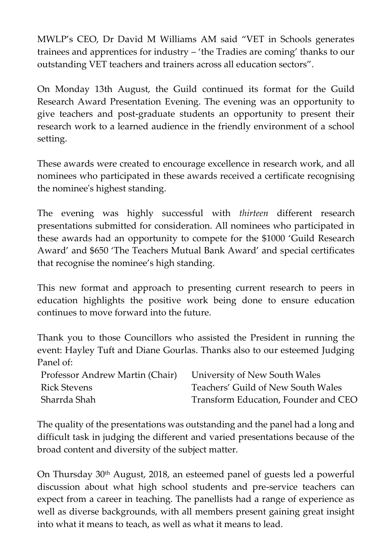MWLP's CEO, Dr David M Williams AM said "VET in Schools generates trainees and apprentices for industry – 'the Tradies are coming' thanks to our outstanding VET teachers and trainers across all education sectors".

On Monday 13th August, the Guild continued its format for the Guild Research Award Presentation Evening. The evening was an opportunity to give teachers and post-graduate students an opportunity to present their research work to a learned audience in the friendly environment of a school setting.

These awards were created to encourage excellence in research work, and all nominees who participated in these awards received a certificate recognising the nominee's highest standing.

The evening was highly successful with *thirteen* different research presentations submitted for consideration. All nominees who participated in these awards had an opportunity to compete for the \$1000 'Guild Research Award' and \$650 'The Teachers Mutual Bank Award' and special certificates that recognise the nominee's high standing.

This new format and approach to presenting current research to peers in education highlights the positive work being done to ensure education continues to move forward into the future.

Thank you to those Councillors who assisted the President in running the event: Hayley Tuft and Diane Gourlas. Thanks also to our esteemed Judging Panel of:

| Professor Andrew Martin (Chair) University of New South Wales |                                      |
|---------------------------------------------------------------|--------------------------------------|
| Rick Stevens                                                  | Teachers' Guild of New South Wales   |
| Sharrda Shah                                                  | Transform Education, Founder and CEO |

The quality of the presentations was outstanding and the panel had a long and difficult task in judging the different and varied presentations because of the broad content and diversity of the subject matter.

On Thursday 30th August, 2018, an esteemed panel of guests led a powerful discussion about what high school students and pre-service teachers can expect from a career in teaching. The panellists had a range of experience as well as diverse backgrounds, with all members present gaining great insight into what it means to teach, as well as what it means to lead.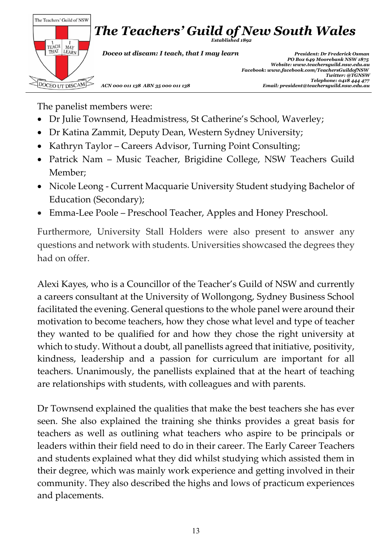

The panelist members were:

- Dr Julie Townsend, Headmistress, St Catherine's School, Waverley;
- Dr Katina Zammit, Deputy Dean, Western Sydney University;
- Kathryn Taylor Careers Advisor, Turning Point Consulting;
- Patrick Nam Music Teacher, Brigidine College, NSW Teachers Guild Member;
- Nicole Leong Current Macquarie University Student studying Bachelor of Education (Secondary);
- Emma-Lee Poole Preschool Teacher, Apples and Honey Preschool.

Furthermore, University Stall Holders were also present to answer any questions and network with students. Universities showcased the degrees they had on offer.

Alexi Kayes, who is a Councillor of the Teacher's Guild of NSW and currently a careers consultant at the University of Wollongong, Sydney Business School facilitated the evening. General questions to the whole panel were around their motivation to become teachers, how they chose what level and type of teacher they wanted to be qualified for and how they chose the right university at which to study. Without a doubt, all panellists agreed that initiative, positivity, kindness, leadership and a passion for curriculum are important for all teachers. Unanimously, the panellists explained that at the heart of teaching are relationships with students, with colleagues and with parents.

Dr Townsend explained the qualities that make the best teachers she has ever seen. She also explained the training she thinks provides a great basis for teachers as well as outlining what teachers who aspire to be principals or leaders within their field need to do in their career. The Early Career Teachers and students explained what they did whilst studying which assisted them in their degree, which was mainly work experience and getting involved in their community. They also described the highs and lows of practicum experiences and placements.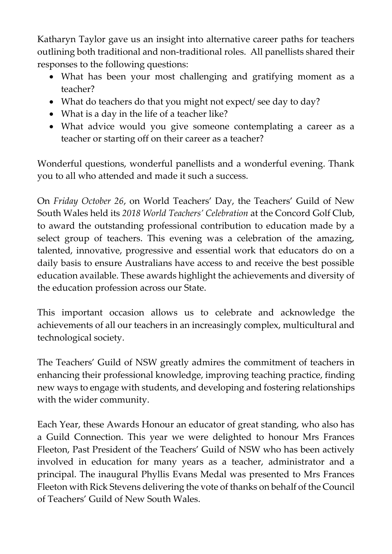Katharyn Taylor gave us an insight into alternative career paths for teachers outlining both traditional and non-traditional roles. All panellists shared their responses to the following questions:

- What has been your most challenging and gratifying moment as a teacher?
- What do teachers do that you might not expect/ see day to day?
- What is a day in the life of a teacher like?
- What advice would you give someone contemplating a career as a teacher or starting off on their career as a teacher?

Wonderful questions, wonderful panellists and a wonderful evening. Thank you to all who attended and made it such a success.

On *Friday October 26*, on World Teachers' Day, the Teachers' Guild of New South Wales held its *2018 World Teachers' Celebration* at the Concord Golf Club, to award the outstanding professional contribution to education made by a select group of teachers. This evening was a celebration of the amazing, talented, innovative, progressive and essential work that educators do on a daily basis to ensure Australians have access to and receive the best possible education available. These awards highlight the achievements and diversity of the education profession across our State.

This important occasion allows us to celebrate and acknowledge the achievements of all our teachers in an increasingly complex, multicultural and technological society.

The Teachers' Guild of NSW greatly admires the commitment of teachers in enhancing their professional knowledge, improving teaching practice, finding new ways to engage with students, and developing and fostering relationships with the wider community.

Each Year, these Awards Honour an educator of great standing, who also has a Guild Connection. This year we were delighted to honour Mrs Frances Fleeton, Past President of the Teachers' Guild of NSW who has been actively involved in education for many years as a teacher, administrator and a principal. The inaugural Phyllis Evans Medal was presented to Mrs Frances Fleeton with Rick Stevens delivering the vote of thanks on behalf of the Council of Teachers' Guild of New South Wales.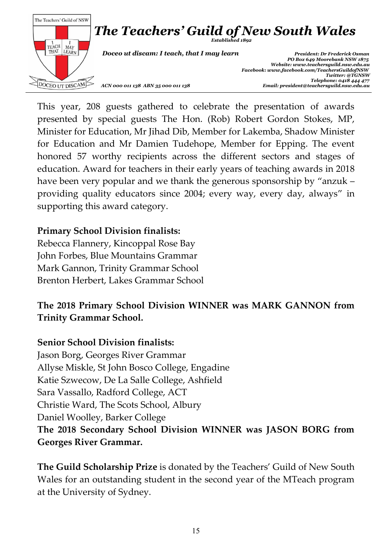

This year, 208 guests gathered to celebrate the presentation of awards presented by special guests The Hon. (Rob) Robert Gordon Stokes, MP, Minister for Education, Mr Jihad Dib, Member for Lakemba, Shadow Minister for Education and Mr Damien Tudehope, Member for Epping. The event honored 57 worthy recipients across the different sectors and stages of education. Award for teachers in their early years of teaching awards in 2018 have been very popular and we thank the generous sponsorship by "anzuk – providing quality educators since 2004; every way, every day, always" in supporting this award category.

#### **Primary School Division finalists:**

Rebecca Flannery, Kincoppal Rose Bay John Forbes, Blue Mountains Grammar Mark Gannon, Trinity Grammar School Brenton Herbert, Lakes Grammar School

## **The 2018 Primary School Division WINNER was MARK GANNON from Trinity Grammar School.**

#### **Senior School Division finalists:**

Jason Borg, Georges River Grammar Allyse Miskle, St John Bosco College, Engadine Katie Szwecow, De La Salle College, Ashfield Sara Vassallo, Radford College, ACT Christie Ward, The Scots School, Albury Daniel Woolley, Barker College **The 2018 Secondary School Division WINNER was JASON BORG from Georges River Grammar.** 

**The Guild Scholarship Prize** is donated by the Teachers' Guild of New South Wales for an outstanding student in the second year of the MTeach program at the University of Sydney.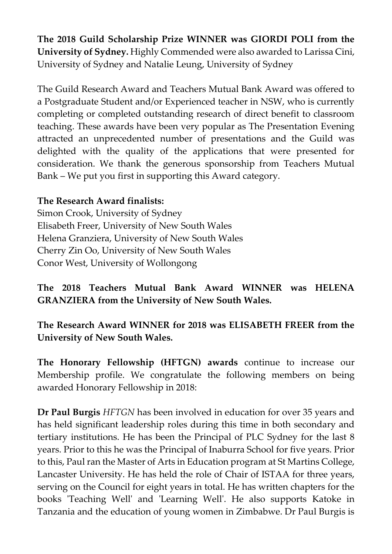**The 2018 Guild Scholarship Prize WINNER was GIORDI POLI from the University of Sydney.** Highly Commended were also awarded to Larissa Cini, University of Sydney and Natalie Leung, University of Sydney

The Guild Research Award and Teachers Mutual Bank Award was offered to a Postgraduate Student and/or Experienced teacher in NSW, who is currently completing or completed outstanding research of direct benefit to classroom teaching. These awards have been very popular as The Presentation Evening attracted an unprecedented number of presentations and the Guild was delighted with the quality of the applications that were presented for consideration. We thank the generous sponsorship from Teachers Mutual Bank – We put you first in supporting this Award category.

## **The Research Award finalists:**

Simon Crook, University of Sydney Elisabeth Freer, University of New South Wales Helena Granziera, University of New South Wales Cherry Zin Oo, University of New South Wales Conor West, University of Wollongong

**The 2018 Teachers Mutual Bank Award WINNER was HELENA GRANZIERA from the University of New South Wales.**

**The Research Award WINNER for 2018 was ELISABETH FREER from the University of New South Wales.**

**The Honorary Fellowship (HFTGN) awards** continue to increase our Membership profile. We congratulate the following members on being awarded Honorary Fellowship in 2018:

**Dr Paul Burgis** *HFTGN* has been involved in education for over 35 years and has held significant leadership roles during this time in both secondary and tertiary institutions. He has been the Principal of PLC Sydney for the last 8 years. Prior to this he was the Principal of Inaburra School for five years. Prior to this, Paul ran the Master of Arts in Education program at St Martins College, Lancaster University. He has held the role of Chair of ISTAA for three years, serving on the Council for eight years in total. He has written chapters for the books 'Teaching Well' and 'Learning Well'. He also supports Katoke in Tanzania and the education of young women in Zimbabwe. Dr Paul Burgis is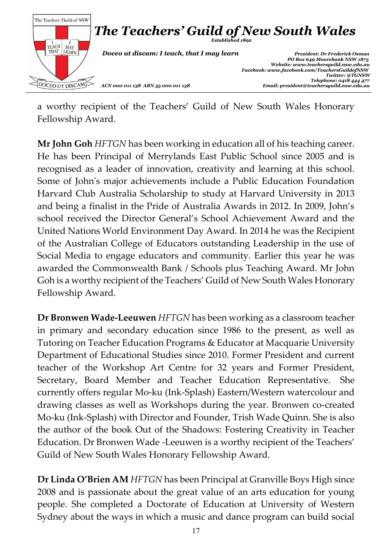

a worthy recipient of the Teachers' Guild of New South Wales Honorary Fellowship Award.

**Mr John Goh** *HFTGN* has been working in education all of his teaching career. He has been Principal of Merrylands East Public School since 2005 and is recognised as a leader of innovation, creativity and learning at this school. Some of John's major achievements include a Public Education Foundation Harvard Club Australia Scholarship to study at Harvard University in 2013 and being a finalist in the Pride of Australia Awards in 2012. In 2009, John's school received the Director General's School Achievement Award and the United Nations World Environment Day Award. In 2014 he was the Recipient of the Australian College of Educators outstanding Leadership in the use of Social Media to engage educators and community. Earlier this year he was awarded the Commonwealth Bank / Schools plus Teaching Award. Mr John Goh is a worthy recipient of the Teachers' Guild of New South Wales Honorary Fellowship Award.

**Dr Bronwen Wade-Leeuwen** *HFTGN* has been working as a classroom teacher in primary and secondary education since 1986 to the present, as well as Tutoring on Teacher Education Programs & Educator at Macquarie University Department of Educational Studies since 2010. Former President and current teacher of the Workshop Art Centre for 32 years and Former President, Secretary, Board Member and Teacher Education Representative. She currently offers regular Mo-ku (Ink-Splash) Eastern/Western watercolour and drawing classes as well as Workshops during the year. Bronwen co-created Mo-ku (Ink-Splash) with Director and Founder, Trish Wade Quinn. She is also the author of the book Out of the Shadows: Fostering Creativity in Teacher Education. Dr Bronwen Wade -Leeuwen is a worthy recipient of the Teachers' Guild of New South Wales Honorary Fellowship Award.

**Dr Linda O'Brien AM** *HFTGN* has been Principal at Granville Boys High since 2008 and is passionate about the great value of an arts education for young people. She completed a Doctorate of Education at University of Western Sydney about the ways in which a music and dance program can build social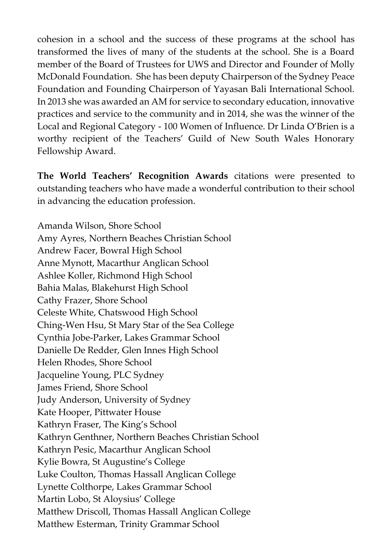cohesion in a school and the success of these programs at the school has transformed the lives of many of the students at the school. She is a Board member of the Board of Trustees for UWS and Director and Founder of Molly McDonald Foundation. She has been deputy Chairperson of the Sydney Peace Foundation and Founding Chairperson of Yayasan Bali International School. In 2013 she was awarded an AM for service to secondary education, innovative practices and service to the community and in 2014, she was the winner of the Local and Regional Category - 100 Women of Influence. Dr Linda O'Brien is a worthy recipient of the Teachers' Guild of New South Wales Honorary Fellowship Award.

**The World Teachers' Recognition Awards** citations were presented to outstanding teachers who have made a wonderful contribution to their school in advancing the education profession.

Amanda Wilson, Shore School Amy Ayres, Northern Beaches Christian School Andrew Facer, Bowral High School Anne Mynott, Macarthur Anglican School Ashlee Koller, Richmond High School Bahia Malas, Blakehurst High School Cathy Frazer, Shore School Celeste White, Chatswood High School Ching-Wen Hsu, St Mary Star of the Sea College Cynthia Jobe-Parker, Lakes Grammar School Danielle De Redder, Glen Innes High School Helen Rhodes, Shore School Jacqueline Young, PLC Sydney James Friend, Shore School Judy Anderson, University of Sydney Kate Hooper, Pittwater House Kathryn Fraser, The King's School Kathryn Genthner, Northern Beaches Christian School Kathryn Pesic, Macarthur Anglican School Kylie Bowra, St Augustine's College Luke Coulton, Thomas Hassall Anglican College Lynette Colthorpe, Lakes Grammar School Martin Lobo, St Aloysius' College Matthew Driscoll, Thomas Hassall Anglican College Matthew Esterman, Trinity Grammar School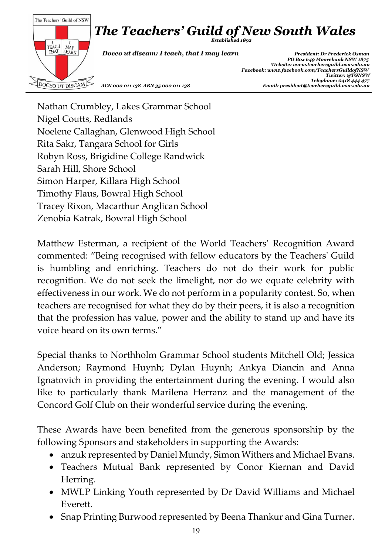

Nathan Crumbley, Lakes Grammar School Nigel Coutts, Redlands Noelene Callaghan, Glenwood High School Rita Sakr, Tangara School for Girls Robyn Ross, Brigidine College Randwick Sarah Hill, Shore School Simon Harper, Killara High School Timothy Flaus, Bowral High School Tracey Rixon, Macarthur Anglican School Zenobia Katrak, Bowral High School

Matthew Esterman, a recipient of the World Teachers' Recognition Award commented: "Being recognised with fellow educators by the Teachers' Guild is humbling and enriching. Teachers do not do their work for public recognition. We do not seek the limelight, nor do we equate celebrity with effectiveness in our work. We do not perform in a popularity contest. So, when teachers are recognised for what they do by their peers, it is also a recognition that the profession has value, power and the ability to stand up and have its voice heard on its own terms."

Special thanks to Northholm Grammar School students Mitchell Old; Jessica Anderson; Raymond Huynh; Dylan Huynh; Ankya Diancin and Anna Ignatovich in providing the entertainment during the evening. I would also like to particularly thank Marilena Herranz and the management of the Concord Golf Club on their wonderful service during the evening.

These Awards have been benefited from the generous sponsorship by the following Sponsors and stakeholders in supporting the Awards:

- anzuk represented by Daniel Mundy, Simon Withers and Michael Evans.
- Teachers Mutual Bank represented by Conor Kiernan and David Herring.
- MWLP Linking Youth represented by Dr David Williams and Michael Everett.
- Snap Printing Burwood represented by Beena Thankur and Gina Turner.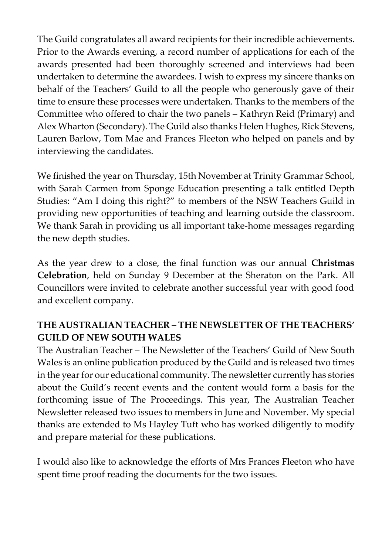The Guild congratulates all award recipients for their incredible achievements. Prior to the Awards evening, a record number of applications for each of the awards presented had been thoroughly screened and interviews had been undertaken to determine the awardees. I wish to express my sincere thanks on behalf of the Teachers' Guild to all the people who generously gave of their time to ensure these processes were undertaken. Thanks to the members of the Committee who offered to chair the two panels – Kathryn Reid (Primary) and Alex Wharton (Secondary). The Guild also thanks Helen Hughes, Rick Stevens, Lauren Barlow, Tom Mae and Frances Fleeton who helped on panels and by interviewing the candidates.

We finished the year on Thursday, 15th November at Trinity Grammar School, with Sarah Carmen from Sponge Education presenting a talk entitled Depth Studies: "Am I doing this right?" to members of the NSW Teachers Guild in providing new opportunities of teaching and learning outside the classroom. We thank Sarah in providing us all important take-home messages regarding the new depth studies.

As the year drew to a close, the final function was our annual **Christmas Celebration**, held on Sunday 9 December at the Sheraton on the Park. All Councillors were invited to celebrate another successful year with good food and excellent company.

## **THE AUSTRALIAN TEACHER – THE NEWSLETTER OF THE TEACHERS' GUILD OF NEW SOUTH WALES**

The Australian Teacher – The Newsletter of the Teachers' Guild of New South Wales is an online publication produced by the Guild and is released two times in the year for our educational community. The newsletter currently has stories about the Guild's recent events and the content would form a basis for the forthcoming issue of The Proceedings. This year, The Australian Teacher Newsletter released two issues to members in June and November. My special thanks are extended to Ms Hayley Tuft who has worked diligently to modify and prepare material for these publications.

I would also like to acknowledge the efforts of Mrs Frances Fleeton who have spent time proof reading the documents for the two issues.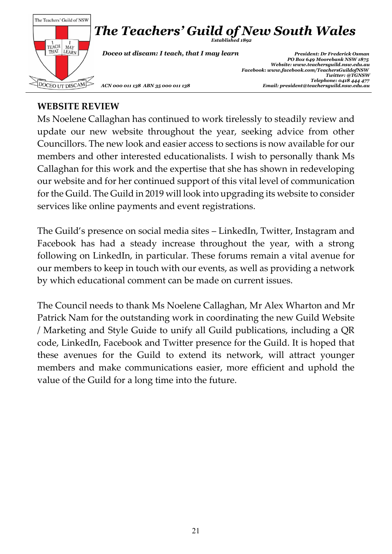

#### **WEBSITE REVIEW**

Ms Noelene Callaghan has continued to work tirelessly to steadily review and update our new website throughout the year, seeking advice from other Councillors. The new look and easier access to sections is now available for our members and other interested educationalists. I wish to personally thank Ms Callaghan for this work and the expertise that she has shown in redeveloping our website and for her continued support of this vital level of communication for the Guild. The Guild in 2019 will look into upgrading its website to consider services like online payments and event registrations.

The Guild's presence on social media sites – LinkedIn, Twitter, Instagram and Facebook has had a steady increase throughout the year, with a strong following on LinkedIn, in particular. These forums remain a vital avenue for our members to keep in touch with our events, as well as providing a network by which educational comment can be made on current issues.

The Council needs to thank Ms Noelene Callaghan, Mr Alex Wharton and Mr Patrick Nam for the outstanding work in coordinating the new Guild Website / Marketing and Style Guide to unify all Guild publications, including a QR code, LinkedIn, Facebook and Twitter presence for the Guild. It is hoped that these avenues for the Guild to extend its network, will attract younger members and make communications easier, more efficient and uphold the value of the Guild for a long time into the future.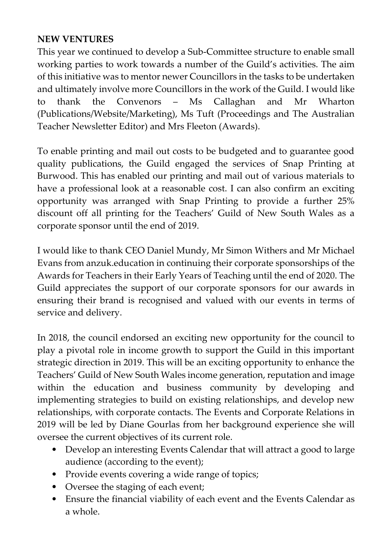## **NEW VENTURES**

This year we continued to develop a Sub-Committee structure to enable small working parties to work towards a number of the Guild's activities. The aim of this initiative was to mentor newer Councillors in the tasks to be undertaken and ultimately involve more Councillors in the work of the Guild. I would like to thank the Convenors – Ms Callaghan and Mr Wharton (Publications/Website/Marketing), Ms Tuft (Proceedings and The Australian Teacher Newsletter Editor) and Mrs Fleeton (Awards).

To enable printing and mail out costs to be budgeted and to guarantee good quality publications, the Guild engaged the services of Snap Printing at Burwood. This has enabled our printing and mail out of various materials to have a professional look at a reasonable cost. I can also confirm an exciting opportunity was arranged with Snap Printing to provide a further 25% discount off all printing for the Teachers' Guild of New South Wales as a corporate sponsor until the end of 2019.

I would like to thank CEO Daniel Mundy, Mr Simon Withers and Mr Michael Evans from anzuk.education in continuing their corporate sponsorships of the Awards for Teachers in their Early Years of Teaching until the end of 2020. The Guild appreciates the support of our corporate sponsors for our awards in ensuring their brand is recognised and valued with our events in terms of service and delivery.

In 2018, the council endorsed an exciting new opportunity for the council to play a pivotal role in income growth to support the Guild in this important strategic direction in 2019. This will be an exciting opportunity to enhance the Teachers' Guild of New South Wales income generation, reputation and image within the education and business community by developing and implementing strategies to build on existing relationships, and develop new relationships, with corporate contacts. The Events and Corporate Relations in 2019 will be led by Diane Gourlas from her background experience she will oversee the current objectives of its current role.

- Develop an interesting Events Calendar that will attract a good to large audience (according to the event);
- Provide events covering a wide range of topics;
- Oversee the staging of each event;
- Ensure the financial viability of each event and the Events Calendar as a whole.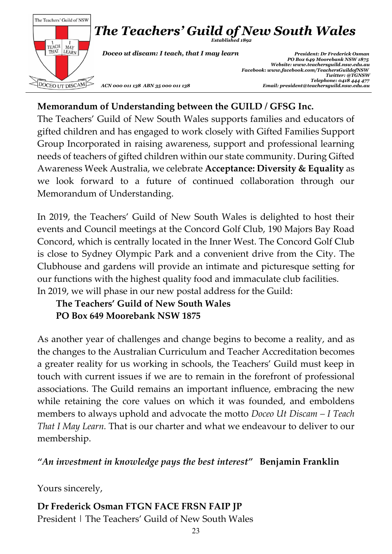

## **Memorandum of Understanding between the GUILD / GFSG Inc.**

The Teachers' Guild of New South Wales supports families and educators of gifted children and has engaged to work closely with Gifted Families Support Group Incorporated in raising awareness, support and professional learning needs of teachers of gifted children within our state community. During Gifted Awareness Week Australia, we celebrate **Acceptance: Diversity & Equality** as we look forward to a future of continued collaboration through our Memorandum of Understanding.

In 2019, the Teachers' Guild of New South Wales is delighted to host their events and Council meetings at the Concord Golf Club, 190 Majors Bay Road Concord, which is centrally located in the Inner West. The Concord Golf Club is close to Sydney Olympic Park and a convenient drive from the City. The Clubhouse and gardens will provide an intimate and picturesque setting for our functions with the highest quality food and immaculate club facilities. In 2019, we will phase in our new postal address for the Guild:

# **The Teachers' Guild of New South Wales PO Box 649 Moorebank NSW 1875**

As another year of challenges and change begins to become a reality, and as the changes to the Australian Curriculum and Teacher Accreditation becomes a greater reality for us working in schools, the Teachers' Guild must keep in touch with current issues if we are to remain in the forefront of professional associations. The Guild remains an important influence, embracing the new while retaining the core values on which it was founded, and emboldens members to always uphold and advocate the motto *Doceo Ut Discam – I Teach That I May Learn.* That is our charter and what we endeavour to deliver to our membership.

*"An investment in knowledge pays the best interest"* **Benjamin Franklin**

Yours sincerely,

**Dr Frederick Osman FTGN FACE FRSN FAIP JP** President | The Teachers' Guild of New South Wales